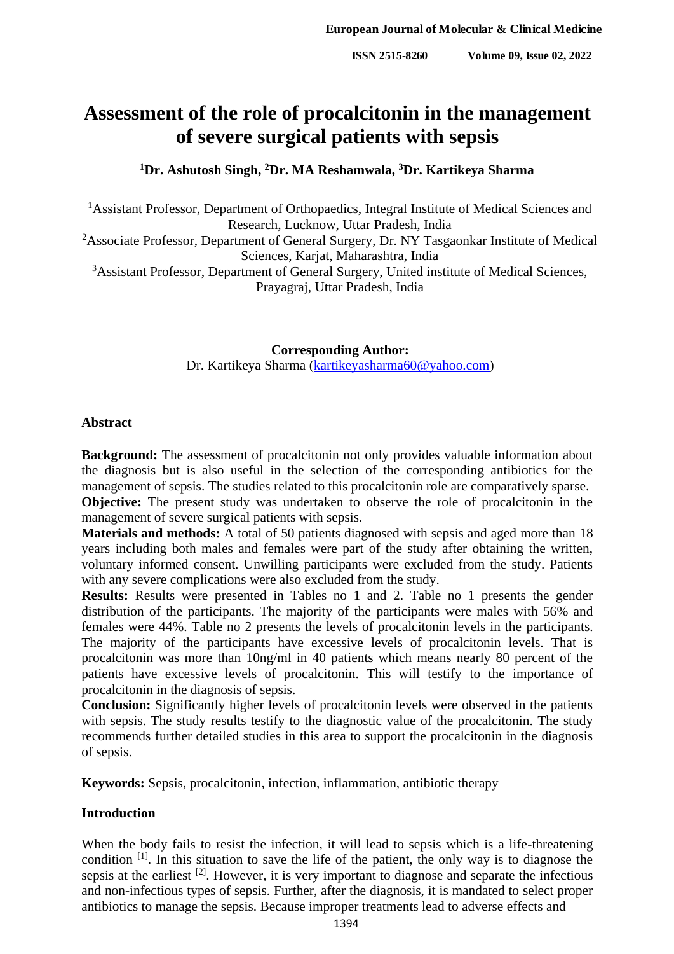# **Assessment of the role of procalcitonin in the management of severe surgical patients with sepsis**

**<sup>1</sup>Dr. Ashutosh Singh, <sup>2</sup>Dr. MA Reshamwala, <sup>3</sup>Dr. Kartikeya Sharma**

<sup>1</sup>Assistant Professor, Department of Orthopaedics, Integral Institute of Medical Sciences and Research, Lucknow, Uttar Pradesh, India

<sup>2</sup>Associate Professor, Department of General Surgery, Dr. NY Tasgaonkar Institute of Medical Sciences, Karjat, Maharashtra, India

<sup>3</sup>Assistant Professor, Department of General Surgery, United institute of Medical Sciences, Prayagraj, Uttar Pradesh, India

**Corresponding Author:**

Dr. Kartikeya Sharma [\(kartikeyasharma60@yahoo.com\)](mailto:kartikeyasharma60@yahoo.com)

#### **Abstract**

**Background:** The assessment of procalcitonin not only provides valuable information about the diagnosis but is also useful in the selection of the corresponding antibiotics for the management of sepsis. The studies related to this procalcitonin role are comparatively sparse.

**Objective:** The present study was undertaken to observe the role of procalcitonin in the management of severe surgical patients with sepsis.

**Materials and methods:** A total of 50 patients diagnosed with sepsis and aged more than 18 years including both males and females were part of the study after obtaining the written, voluntary informed consent. Unwilling participants were excluded from the study. Patients with any severe complications were also excluded from the study.

**Results:** Results were presented in Tables no 1 and 2. Table no 1 presents the gender distribution of the participants. The majority of the participants were males with 56% and females were 44%. Table no 2 presents the levels of procalcitonin levels in the participants. The majority of the participants have excessive levels of procalcitonin levels. That is procalcitonin was more than 10ng/ml in 40 patients which means nearly 80 percent of the patients have excessive levels of procalcitonin. This will testify to the importance of procalcitonin in the diagnosis of sepsis.

**Conclusion:** Significantly higher levels of procalcitonin levels were observed in the patients with sepsis. The study results testify to the diagnostic value of the procalcitonin. The study recommends further detailed studies in this area to support the procalcitonin in the diagnosis of sepsis.

**Keywords:** Sepsis, procalcitonin, infection, inflammation, antibiotic therapy

## **Introduction**

When the body fails to resist the infection, it will lead to sepsis which is a life-threatening condition  $[1]$ . In this situation to save the life of the patient, the only way is to diagnose the sepsis at the earliest  $[2]$ . However, it is very important to diagnose and separate the infectious and non-infectious types of sepsis. Further, after the diagnosis, it is mandated to select proper antibiotics to manage the sepsis. Because improper treatments lead to adverse effects and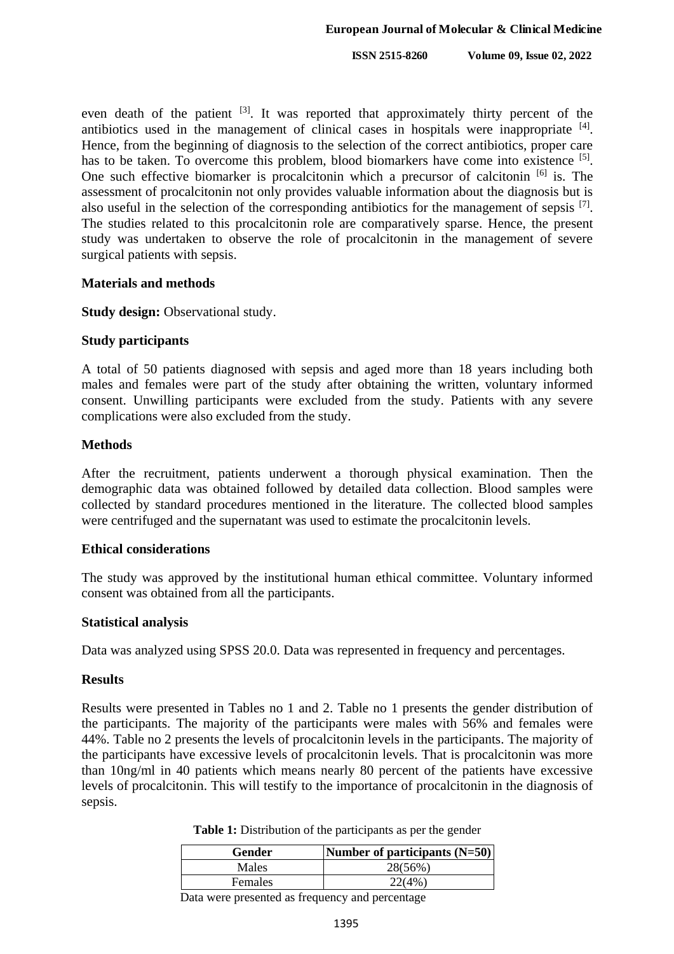even death of the patient <sup>[3]</sup>. It was reported that approximately thirty percent of the antibiotics used in the management of clinical cases in hospitals were inappropriate <sup>[4]</sup>. Hence, from the beginning of diagnosis to the selection of the correct antibiotics, proper care has to be taken. To overcome this problem, blood biomarkers have come into existence <sup>[5]</sup>. One such effective biomarker is procalcitonin which a precursor of calcitonin [6] is. The assessment of procalcitonin not only provides valuable information about the diagnosis but is also useful in the selection of the corresponding antibiotics for the management of sepsis [7]. The studies related to this procalcitonin role are comparatively sparse. Hence, the present study was undertaken to observe the role of procalcitonin in the management of severe surgical patients with sepsis.

#### **Materials and methods**

**Study design:** Observational study.

## **Study participants**

A total of 50 patients diagnosed with sepsis and aged more than 18 years including both males and females were part of the study after obtaining the written, voluntary informed consent. Unwilling participants were excluded from the study. Patients with any severe complications were also excluded from the study.

### **Methods**

After the recruitment, patients underwent a thorough physical examination. Then the demographic data was obtained followed by detailed data collection. Blood samples were collected by standard procedures mentioned in the literature. The collected blood samples were centrifuged and the supernatant was used to estimate the procalcitonin levels.

#### **Ethical considerations**

The study was approved by the institutional human ethical committee. Voluntary informed consent was obtained from all the participants.

#### **Statistical analysis**

Data was analyzed using SPSS 20.0. Data was represented in frequency and percentages.

#### **Results**

Results were presented in Tables no 1 and 2. Table no 1 presents the gender distribution of the participants. The majority of the participants were males with 56% and females were 44%. Table no 2 presents the levels of procalcitonin levels in the participants. The majority of the participants have excessive levels of procalcitonin levels. That is procalcitonin was more than 10ng/ml in 40 patients which means nearly 80 percent of the patients have excessive levels of procalcitonin. This will testify to the importance of procalcitonin in the diagnosis of sepsis.

| Gender         | Number of participants $(N=50)$ |
|----------------|---------------------------------|
| Males          | 28(56%)                         |
| <b>Females</b> | 22.4%                           |

**Table 1:** Distribution of the participants as per the gender

Data were presented as frequency and percentage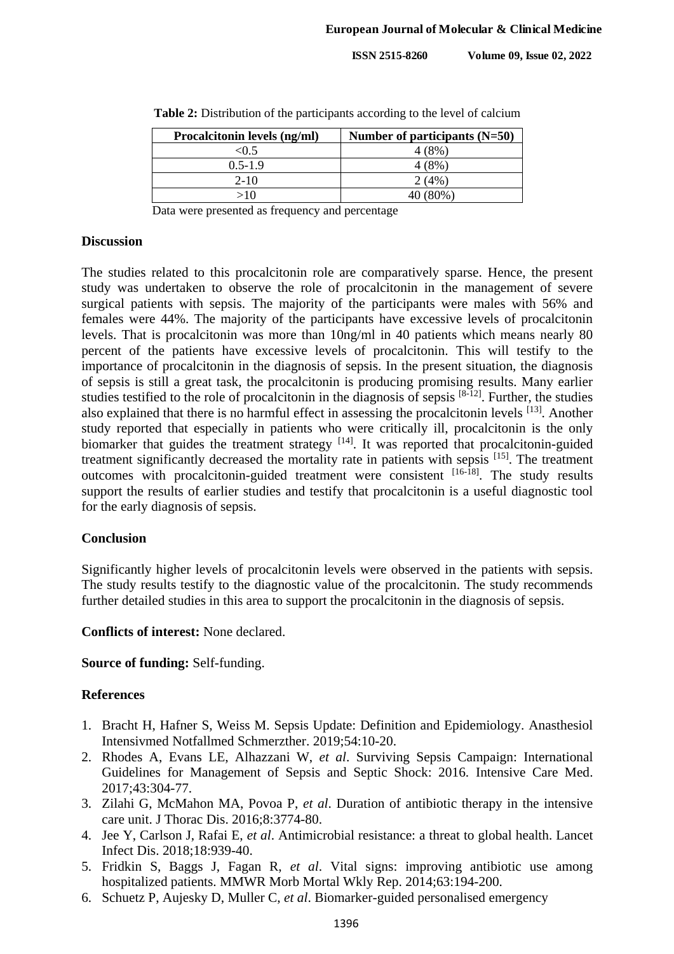| Procalcitonin levels (ng/ml) | Number of participants $(N=50)$ |
|------------------------------|---------------------------------|
| < 0.5                        | 4 (8%)                          |
| $0.5 - 1.9$                  | 4 (8%)                          |
| $2 - 10$                     | 2(4%)                           |
| >10                          | 40 (80%)                        |

**Table 2:** Distribution of the participants according to the level of calcium

Data were presented as frequency and percentage

#### **Discussion**

The studies related to this procalcitonin role are comparatively sparse. Hence, the present study was undertaken to observe the role of procalcitonin in the management of severe surgical patients with sepsis. The majority of the participants were males with 56% and females were 44%. The majority of the participants have excessive levels of procalcitonin levels. That is procalcitonin was more than 10ng/ml in 40 patients which means nearly 80 percent of the patients have excessive levels of procalcitonin. This will testify to the importance of procalcitonin in the diagnosis of sepsis. In the present situation, the diagnosis of sepsis is still a great task, the procalcitonin is producing promising results. Many earlier studies testified to the role of procalcitonin in the diagnosis of sepsis  $[8-12]$ . Further, the studies also explained that there is no harmful effect in assessing the procalcitonin levels [13]. Another study reported that especially in patients who were critically ill, procalcitonin is the only biomarker that guides the treatment strategy  $[14]$ . It was reported that procalcitonin-guided treatment significantly decreased the mortality rate in patients with sepsis [15]. The treatment outcomes with procalcitonin-guided treatment were consistent [16-18]. The study results support the results of earlier studies and testify that procalcitonin is a useful diagnostic tool for the early diagnosis of sepsis.

## **Conclusion**

Significantly higher levels of procalcitonin levels were observed in the patients with sepsis. The study results testify to the diagnostic value of the procalcitonin. The study recommends further detailed studies in this area to support the procalcitonin in the diagnosis of sepsis.

#### **Conflicts of interest:** None declared.

## **Source of funding:** Self-funding.

## **References**

- 1. Bracht H, Hafner S, Weiss M. Sepsis Update: Definition and Epidemiology. Anasthesiol Intensivmed Notfallmed Schmerzther. 2019;54:10-20.
- 2. Rhodes A, Evans LE, Alhazzani W, *et al*. Surviving Sepsis Campaign: International Guidelines for Management of Sepsis and Septic Shock: 2016. Intensive Care Med. 2017;43:304-77.
- 3. Zilahi G, McMahon MA, Povoa P, *et al*. Duration of antibiotic therapy in the intensive care unit. J Thorac Dis. 2016;8:3774-80.
- 4. Jee Y, Carlson J, Rafai E, *et al*. Antimicrobial resistance: a threat to global health. Lancet Infect Dis. 2018;18:939-40.
- 5. Fridkin S, Baggs J, Fagan R, *et al*. Vital signs: improving antibiotic use among hospitalized patients. MMWR Morb Mortal Wkly Rep. 2014;63:194-200.
- 6. Schuetz P, Aujesky D, Muller C, *et al*. Biomarker-guided personalised emergency